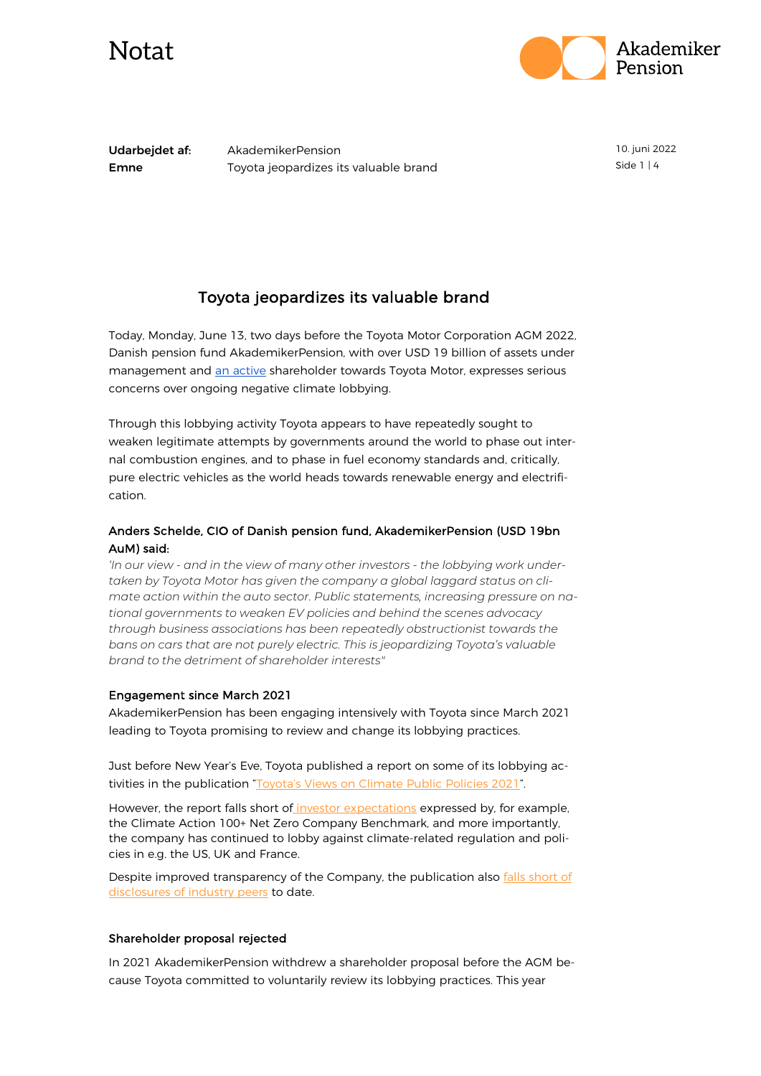



Udarbejdet af: AkademikerPension **Emne** Toyota jeopardizes its valuable brand 10. juni 2022 Side 1 | 4

### Toyota jeopardizes its valuable brand

Today, Monday, June 13, two days before the Toyota Motor Corporation AGM 2022, Danish pension fund AkademikerPension, with over USD 19 billion of assets under management and [an active](https://www.reuters.com/business/autos-transportation/investors-chide-toyotas-toyoda-questioning-combustion-car-ban-2021-05-10/) shareholder towards Toyota Motor, expresses serious concerns over ongoing negative climate lobbying.

Through this lobbying activity Toyota appears to have repeatedly sought to weaken legitimate attempts by governments around the world to phase out internal combustion engines, and to phase in fuel economy standards and, critically, pure electric vehicles as the world heads towards renewable energy and electrification.

### Anders Schelde, CIO of Danish pension fund, AkademikerPension (USD 19bn AuM) said:

*'In our view - and in the view of many other investors - the lobbying work undertaken by Toyota Motor has given the company a global laggard status on climate action within the auto sector. Public statements, increasing pressure on national governments to weaken EV policies and behind the scenes advocacy through business associations has been repeatedly obstructionist towards the bans on cars that are not purely electric. This is jeopardizing Toyota's valuable brand to the detriment of shareholder interests"* 

#### Engagement since March 2021

AkademikerPension has been engaging intensively with Toyota since March 2021 leading to Toyota promising to review and change its lobbying practices.

Just before New Year's Eve, Toyota published a report on some of its lobbying activities in the publication ["Toyota's Views on Climate Public Policies 2021"](https://global.toyota/pages/global_toyota/sustainability/esg/environmental/climate_public_policies_en.pdf).

However, the report falls short of [investor expectations](https://www.climateaction100.org/company/toyota-motor-corporation/) expressed by, for example, the Climate Action 100+ Net Zero Company Benchmark, and more importantly, the company has continued to lobby against climate-related regulation and policies in e.g. the US, UK and France.

Despite improved transparency of the Company, the publication also falls short of [disclosures of industry peers](https://influencemap.org/EN/report/-d1b6c36cf7701be308412ef034688cc2-17429) to date.

#### Shareholder proposal rejected

In 2021 AkademikerPension withdrew a shareholder proposal before the AGM because Toyota committed to voluntarily review its lobbying practices. This year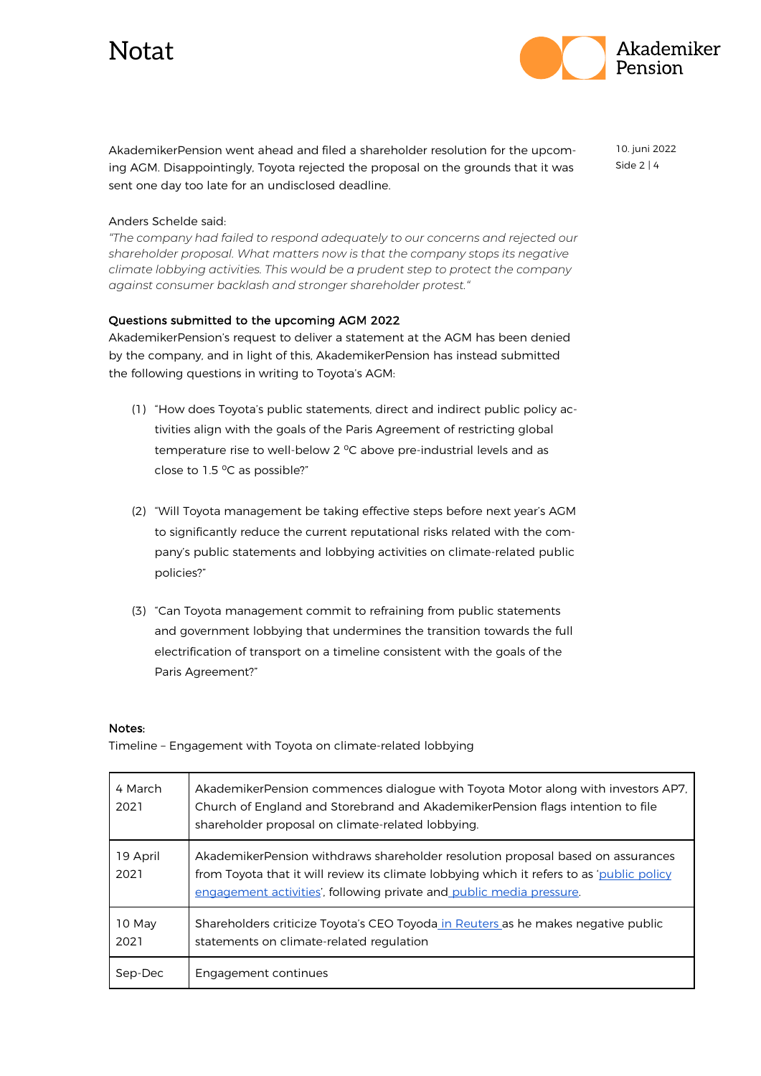# Notat



AkademikerPension went ahead and filed a shareholder resolution for the upcoming AGM. Disappointingly, Toyota rejected the proposal on the grounds that it was sent one day too late for an undisclosed deadline.

10. juni 2022 Side 2 | 4

#### Anders Schelde said:

*"The company had failed to respond adequately to our concerns and rejected our shareholder proposal. What matters now is that the company stops its negative climate lobbying activities. This would be a prudent step to protect the company against consumer backlash and stronger shareholder protest."*

#### Questions submitted to the upcoming AGM 2022

AkademikerPension's request to deliver a statement at the AGM has been denied by the company, and in light of this, AkademikerPension has instead submitted the following questions in writing to Toyota's AGM:

- (1) "How does Toyota's public statements, direct and indirect public policy activities align with the goals of the Paris Agreement of restricting global temperature rise to well-below 2 °C above pre-industrial levels and as close to  $1.5 \text{ °C}$  as possible?"
- (2) "Will Toyota management be taking effective steps before next year's AGM to significantly reduce the current reputational risks related with the company's public statements and lobbying activities on climate-related public policies?"
- (3) "Can Toyota management commit to refraining from public statements and government lobbying that undermines the transition towards the full electrification of transport on a timeline consistent with the goals of the Paris Agreement?"

#### Notes:

Timeline – Engagement with Toyota on climate-related lobbying

| 4 March<br>2021  | AkademikerPension commences dialogue with Toyota Motor along with investors AP7.<br>Church of England and Storebrand and AkademikerPension flags intention to file<br>shareholder proposal on climate-related lobbying.                              |
|------------------|------------------------------------------------------------------------------------------------------------------------------------------------------------------------------------------------------------------------------------------------------|
| 19 April<br>2021 | AkademikerPension withdraws shareholder resolution proposal based on assurances<br>from Toyota that it will review its climate lobbying which it refers to as 'public policy<br>engagement activities', following private and public media pressure. |
| 10 May<br>2021   | Shareholders criticize Toyota's CEO Toyoda in Reuters as he makes negative public<br>statements on climate-related regulation                                                                                                                        |
| Sep-Dec          | Engagement continues                                                                                                                                                                                                                                 |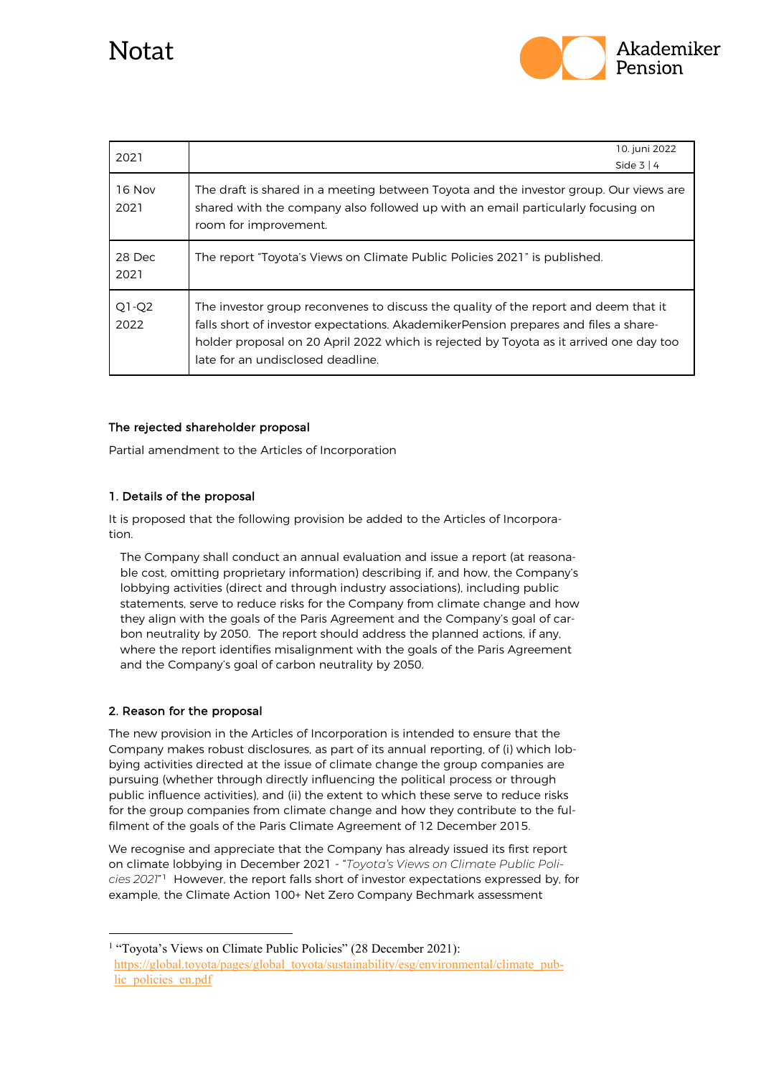

| 2021            | 10. juni 2022                                                                                                                                                                                                                                                                                             |
|-----------------|-----------------------------------------------------------------------------------------------------------------------------------------------------------------------------------------------------------------------------------------------------------------------------------------------------------|
|                 | Side $3 \mid 4$                                                                                                                                                                                                                                                                                           |
| 16 Nov<br>2021  | The draft is shared in a meeting between Toyota and the investor group. Our views are<br>shared with the company also followed up with an email particularly focusing on<br>room for improvement.                                                                                                         |
| 28 Dec<br>2021  | The report "Toyota's Views on Climate Public Policies 2021" is published.                                                                                                                                                                                                                                 |
| $Q1-Q2$<br>2022 | The investor group reconvenes to discuss the quality of the report and deem that it<br>falls short of investor expectations. AkademikerPension prepares and files a share-<br>holder proposal on 20 April 2022 which is rejected by Toyota as it arrived one day too<br>late for an undisclosed deadline. |

#### The rejected shareholder proposal

Partial amendment to the Articles of Incorporation

#### 1. Details of the proposal

It is proposed that the following provision be added to the Articles of Incorporation.

The Company shall conduct an annual evaluation and issue a report (at reasonable cost, omitting proprietary information) describing if, and how, the Company's lobbying activities (direct and through industry associations), including public statements, serve to reduce risks for the Company from climate change and how they align with the goals of the Paris Agreement and the Company's goal of carbon neutrality by 2050. The report should address the planned actions, if any, where the report identifies misalignment with the goals of the Paris Agreement and the Company's goal of carbon neutrality by 2050.

#### 2. Reason for the proposal

The new provision in the Articles of Incorporation is intended to ensure that the Company makes robust disclosures, as part of its annual reporting, of (i) which lobbying activities directed at the issue of climate change the group companies are pursuing (whether through directly influencing the political process or through public influence activities), and (ii) the extent to which these serve to reduce risks for the group companies from climate change and how they contribute to the fulfilment of the goals of the Paris Climate Agreement of 12 December 2015.

We recognise and appreciate that the Company has already issued its first report on climate lobbying in December 2021 - "*Toyota's Views on Climate Public Policies 2021*"[1](#page-2-0) However, the report falls short of investor expectations expressed by, for example, the Climate Action 100+ Net Zero Company Bechmark assessment

<span id="page-2-0"></span><sup>&</sup>lt;sup>1</sup> "Toyota's Views on Climate Public Policies" (28 December 2021): [https://global.toyota/pages/global\\_toyota/sustainability/esg/environmental/climate\\_pub](https://global.toyota/pages/global_toyota/sustainability/esg/environmental/climate_public_policies_en.pdf)lic\_policies\_en.pdf